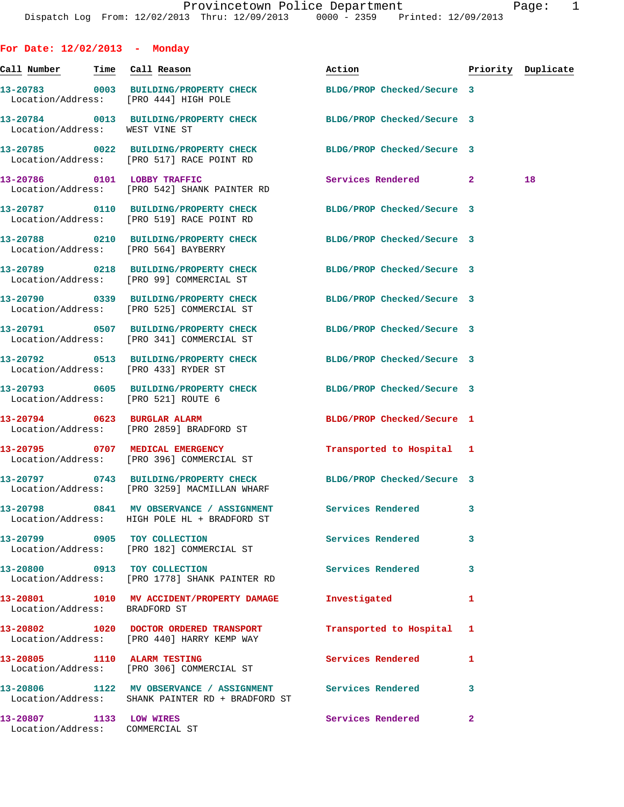**For Date: 12/02/2013 - Monday Call Number Time Call Reason Action Priority Duplicate 13-20783 0003 BUILDING/PROPERTY CHECK BLDG/PROP Checked/Secure 3**  Location/Address: [PRO 444] HIGH POLE **13-20784 0013 BUILDING/PROPERTY CHECK BLDG/PROP Checked/Secure 3**  Location/Address: WEST VINE ST **13-20785 0022 BUILDING/PROPERTY CHECK BLDG/PROP Checked/Secure 3**  Location/Address: [PRO 517] RACE POINT RD **13-20786 0101 LOBBY TRAFFIC Services Rendered 2 18**  Location/Address: [PRO 542] SHANK PAINTER RD **13-20787 0110 BUILDING/PROPERTY CHECK BLDG/PROP Checked/Secure 3**  Location/Address: [PRO 519] RACE POINT RD **13-20788 0210 BUILDING/PROPERTY CHECK BLDG/PROP Checked/Secure 3**  Location/Address: [PRO 564] BAYBERRY **13-20789 0218 BUILDING/PROPERTY CHECK BLDG/PROP Checked/Secure 3**  Location/Address: [PRO 99] COMMERCIAL ST **13-20790 0339 BUILDING/PROPERTY CHECK BLDG/PROP Checked/Secure 3**  Location/Address: [PRO 525] COMMERCIAL ST **13-20791 0507 BUILDING/PROPERTY CHECK BLDG/PROP Checked/Secure 3**  Location/Address: [PRO 341] COMMERCIAL ST **13-20792 0513 BUILDING/PROPERTY CHECK BLDG/PROP Checked/Secure 3**  Location/Address: [PRO 433] RYDER ST **13-20793 0605 BUILDING/PROPERTY CHECK BLDG/PROP Checked/Secure 3**  Location/Address: [PRO 521] ROUTE 6 **13-20794 0623 BURGLAR ALARM BLDG/PROP Checked/Secure 1**  Location/Address: [PRO 2859] BRADFORD ST **13-20795 0707 MEDICAL EMERGENCY Transported to Hospital 1**  Location/Address: [PRO 396] COMMERCIAL ST **13-20797 0743 BUILDING/PROPERTY CHECK BLDG/PROP Checked/Secure 3**  Location/Address: [PRO 3259] MACMILLAN WHARF **13-20798 0841 MV OBSERVANCE / ASSIGNMENT Services Rendered 3**  Location/Address: HIGH POLE HL + BRADFORD ST **13-20799 0905 TOY COLLECTION Services Rendered 3**  Location/Address: [PRO 182] COMMERCIAL ST **13-20800 0913 TOY COLLECTION Services Rendered 3**  Location/Address: [PRO 1778] SHANK PAINTER RD **13-20801 1010 MV ACCIDENT/PROPERTY DAMAGE Investigated 1**  Location/Address: BRADFORD ST **13-20802 1020 DOCTOR ORDERED TRANSPORT Transported to Hospital 1**  Location/Address: [PRO 440] HARRY KEMP WAY **13-20805 1110 ALARM TESTING Services Rendered 1**  Location/Address: [PRO 306] COMMERCIAL ST **13-20806 1122 MV OBSERVANCE / ASSIGNMENT Services Rendered 3** 

Location/Address: SHANK PAINTER RD + BRADFORD ST

**13-20807 1133 LOW WIRES Services Rendered 2**  Location/Address: COMMERCIAL ST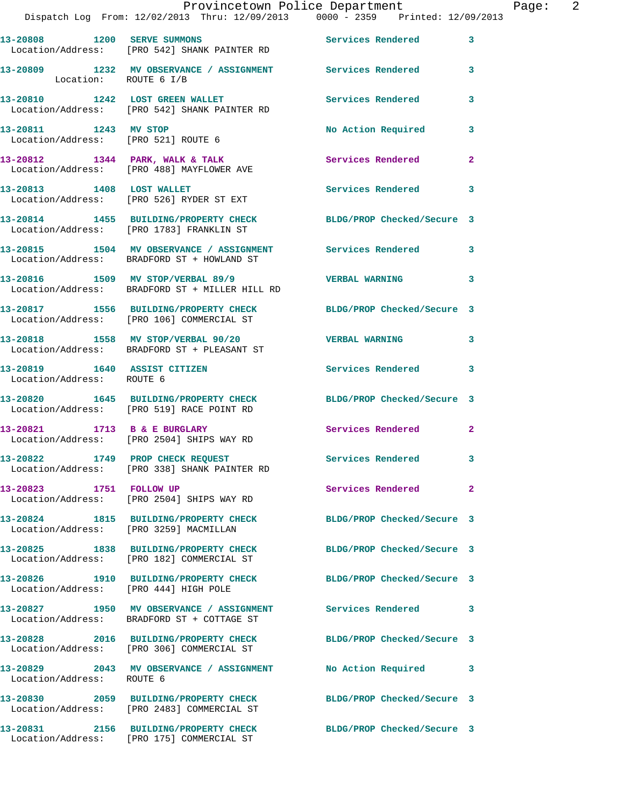|                                                              | Provincetown Police Department<br>Dispatch Log From: 12/02/2013 Thru: 12/09/2013 0000 - 2359 Printed: 12/09/2013 |                            |                |
|--------------------------------------------------------------|------------------------------------------------------------------------------------------------------------------|----------------------------|----------------|
|                                                              | 13-20808 1200 SERVE SUMMONS<br>Location/Address: [PRO 542] SHANK PAINTER RD                                      | <b>Services Rendered</b>   | 3              |
| Location: ROUTE 6 I/B                                        | 13-20809 1232 MV OBSERVANCE / ASSIGNMENT Services Rendered                                                       |                            | 3              |
|                                                              | 13-20810 1242 LOST GREEN WALLET<br>Location/Address: [PRO 542] SHANK PAINTER RD                                  | Services Rendered          | 3              |
| 13-20811 1243 MV STOP<br>Location/Address: [PRO 521] ROUTE 6 |                                                                                                                  | No Action Required         | 3              |
|                                                              | 13-20812 1344 PARK, WALK & TALK<br>Location/Address: [PRO 488] MAYFLOWER AVE                                     | <b>Services Rendered</b>   | $\overline{a}$ |
|                                                              | 13-20813 1408 LOST WALLET<br>Location/Address: [PRO 526] RYDER ST EXT                                            | Services Rendered          | 3              |
|                                                              | 13-20814 1455 BUILDING/PROPERTY CHECK<br>Location/Address: [PRO 1783] FRANKLIN ST                                | BLDG/PROP Checked/Secure 3 |                |
|                                                              | 13-20815 1504 MV OBSERVANCE / ASSIGNMENT<br>Location/Address: BRADFORD ST + HOWLAND ST                           | Services Rendered          | 3              |
|                                                              | 13-20816 1509 MV STOP/VERBAL 89/9<br>Location/Address: BRADFORD ST + MILLER HILL RD                              | <b>VERBAL WARNING</b>      | 3              |
|                                                              | 13-20817 1556 BUILDING/PROPERTY CHECK<br>Location/Address: [PRO 106] COMMERCIAL ST                               | BLDG/PROP Checked/Secure 3 |                |
|                                                              | 13-20818 1558 MV STOP/VERBAL 90/20<br>Location/Address: BRADFORD ST + PLEASANT ST                                | <b>VERBAL WARNING</b>      | 3              |
| 13-20819 1640 ASSIST CITIZEN<br>Location/Address: ROUTE 6    |                                                                                                                  | Services Rendered          | 3              |
|                                                              | 13-20820 1645 BUILDING/PROPERTY CHECK<br>Location/Address: [PRO 519] RACE POINT RD                               | BLDG/PROP Checked/Secure 3 |                |
|                                                              | 13-20821 1713 B & E BURGLARY<br>Location/Address: [PRO 2504] SHIPS WAY RD                                        | <b>Services Rendered</b>   | $\overline{2}$ |
|                                                              | 13-20822 1749 PROP CHECK REQUEST<br>Location/Address: [PRO 338] SHANK PAINTER RD                                 | <b>Services Rendered</b>   |                |
| 13-20823 1751 FOLLOW UP                                      | Location/Address: [PRO 2504] SHIPS WAY RD                                                                        | Services Rendered          | $\overline{a}$ |
| Location/Address: [PRO 3259] MACMILLAN                       | 13-20824 1815 BUILDING/PROPERTY CHECK                                                                            | BLDG/PROP Checked/Secure 3 |                |
|                                                              | 13-20825 1838 BUILDING/PROPERTY CHECK<br>Location/Address: [PRO 182] COMMERCIAL ST                               | BLDG/PROP Checked/Secure 3 |                |
| Location/Address: [PRO 444] HIGH POLE                        | 13-20826 1910 BUILDING/PROPERTY CHECK                                                                            | BLDG/PROP Checked/Secure 3 |                |
|                                                              | 13-20827 1950 MV OBSERVANCE / ASSIGNMENT Services Rendered<br>Location/Address: BRADFORD ST + COTTAGE ST         |                            | 3              |
|                                                              | 13-20828 2016 BUILDING/PROPERTY CHECK<br>Location/Address: [PRO 306] COMMERCIAL ST                               | BLDG/PROP Checked/Secure 3 |                |
| Location/Address: ROUTE 6                                    |                                                                                                                  |                            | 3              |
|                                                              | 13-20830 2059 BUILDING/PROPERTY CHECK<br>Location/Address: [PRO 2483] COMMERCIAL ST                              | BLDG/PROP Checked/Secure 3 |                |
|                                                              | 13-20831 2156 BUILDING/PROPERTY CHECK                                                                            | BLDG/PROP Checked/Secure 3 |                |

Location/Address: [PRO 175] COMMERCIAL ST

Page:  $2$ <br>13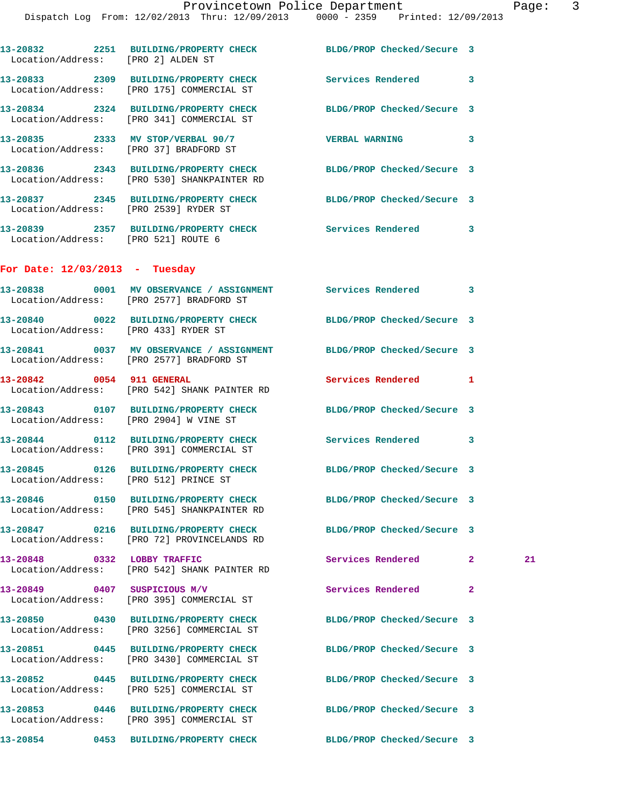|                                        | 13-20832 2251 BUILDING/PROPERTY CHECK BLDG/PROP Checked/Secure 3<br>Location/Address: [PRO 2] ALDEN ST          |                            |                |    |
|----------------------------------------|-----------------------------------------------------------------------------------------------------------------|----------------------------|----------------|----|
|                                        | 13-20833 2309 BUILDING/PROPERTY CHECK Services Rendered<br>Location/Address: [PRO 175] COMMERCIAL ST            |                            | 3              |    |
|                                        | 13-20834 2324 BUILDING/PROPERTY CHECK BLDG/PROP Checked/Secure 3<br>Location/Address: [PRO 341] COMMERCIAL ST   |                            |                |    |
|                                        | 13-20835 2333 MV STOP/VERBAL 90/7 VERBAL WARNING<br>Location/Address: [PRO 37] BRADFORD ST                      |                            | 3              |    |
|                                        | 13-20836 2343 BUILDING/PROPERTY CHECK BLDG/PROP Checked/Secure 3<br>Location/Address: [PRO 530] SHANKPAINTER RD |                            |                |    |
|                                        | 13-20837 2345 BUILDING/PROPERTY CHECK BLDG/PROP Checked/Secure 3<br>Location/Address: [PRO 2539] RYDER ST       |                            |                |    |
|                                        | 13-20839 2357 BUILDING/PROPERTY CHECK Services Rendered<br>Location/Address: [PRO 521] ROUTE 6                  |                            | 3              |    |
| For Date: $12/03/2013$ - Tuesday       |                                                                                                                 |                            |                |    |
|                                        | 13-20838 0001 MV OBSERVANCE / ASSIGNMENT Services Rendered<br>Location/Address: [PRO 2577] BRADFORD ST          |                            | 3              |    |
| Location/Address: [PRO 433] RYDER ST   | 13-20840 0022 BUILDING/PROPERTY CHECK BLDG/PROP Checked/Secure 3                                                |                            |                |    |
|                                        | 13-20841 0037 MV OBSERVANCE / ASSIGNMENT BLDG/PROP Checked/Secure 3<br>Location/Address: [PRO 2577] BRADFORD ST |                            |                |    |
| 13-20842 0054 911 GENERAL              | Location/Address: [PRO 542] SHANK PAINTER RD                                                                    | Services Rendered 1        |                |    |
| Location/Address: [PRO 2904] W VINE ST | 13-20843 0107 BUILDING/PROPERTY CHECK BLDG/PROP Checked/Secure 3                                                |                            |                |    |
|                                        | 13-20844 0112 BUILDING/PROPERTY CHECK Services Rendered 3<br>Location/Address: [PRO 391] COMMERCIAL ST          |                            |                |    |
| Location/Address: [PRO 512] PRINCE ST  | 13-20845 0126 BUILDING/PROPERTY CHECK BLDG/PROP Checked/Secure 3                                                |                            |                |    |
| 13-20846                               | 0150 BUILDING/PROPERTY CHECK<br>Location/Address: [PRO 545] SHANKPAINTER RD                                     | BLDG/PROP Checked/Secure 3 |                |    |
|                                        | 13-20847 0216 BUILDING/PROPERTY CHECK<br>Location/Address: [PRO 72] PROVINCELANDS RD                            | BLDG/PROP Checked/Secure 3 |                |    |
| 13-20848 0332 LOBBY TRAFFIC            | Location/Address: [PRO 542] SHANK PAINTER RD                                                                    | Services Rendered          | $\mathbf{2}$   | 21 |
| 13-20849 0407 SUSPICIOUS M/V           | Location/Address: [PRO 395] COMMERCIAL ST                                                                       | <b>Services Rendered</b>   | $\overline{a}$ |    |
|                                        | 13-20850 0430 BUILDING/PROPERTY CHECK<br>Location/Address: [PRO 3256] COMMERCIAL ST                             | BLDG/PROP Checked/Secure 3 |                |    |
|                                        | 13-20851 0445 BUILDING/PROPERTY CHECK<br>Location/Address: [PRO 3430] COMMERCIAL ST                             | BLDG/PROP Checked/Secure 3 |                |    |
|                                        | 13-20852 0445 BUILDING/PROPERTY CHECK<br>Location/Address: [PRO 525] COMMERCIAL ST                              | BLDG/PROP Checked/Secure 3 |                |    |
|                                        | 13-20853 0446 BUILDING/PROPERTY CHECK<br>Location/Address: [PRO 395] COMMERCIAL ST                              | BLDG/PROP Checked/Secure 3 |                |    |
|                                        |                                                                                                                 |                            |                |    |

**13-20854 0453 BUILDING/PROPERTY CHECK BLDG/PROP Checked/Secure 3**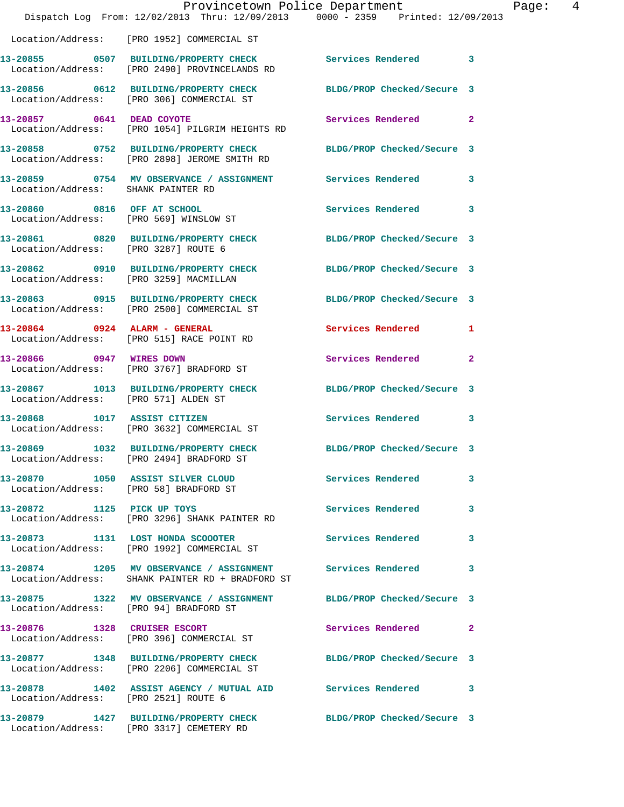|                                                                       | Provincetown Police Department<br>Dispatch Log From: 12/02/2013 Thru: 12/09/2013 0000 - 2359 Printed: 12/09/2013 |                            |                |
|-----------------------------------------------------------------------|------------------------------------------------------------------------------------------------------------------|----------------------------|----------------|
|                                                                       | Location/Address: [PRO 1952] COMMERCIAL ST                                                                       |                            |                |
|                                                                       | 13-20855 0507 BUILDING/PROPERTY CHECK<br>Location/Address: [PRO 2490] PROVINCELANDS RD                           | <b>Services Rendered</b>   | 3              |
|                                                                       | 13-20856 0612 BUILDING/PROPERTY CHECK<br>Location/Address: [PRO 306] COMMERCIAL ST                               | BLDG/PROP Checked/Secure 3 |                |
| 13-20857 0641 DEAD COYOTE                                             | Location/Address: [PRO 1054] PILGRIM HEIGHTS RD                                                                  | Services Rendered          | $\overline{a}$ |
|                                                                       | 13-20858 0752 BUILDING/PROPERTY CHECK<br>Location/Address: [PRO 2898] JEROME SMITH RD                            | BLDG/PROP Checked/Secure 3 |                |
| Location/Address: SHANK PAINTER RD                                    | 13-20859 0754 MV OBSERVANCE / ASSIGNMENT Services Rendered                                                       |                            | 3              |
| 13-20860 0816 OFF AT SCHOOL<br>Location/Address: [PRO 569] WINSLOW ST |                                                                                                                  | <b>Services Rendered</b>   | 3              |
| Location/Address: [PRO 3287] ROUTE 6                                  | 13-20861 0820 BUILDING/PROPERTY CHECK                                                                            | BLDG/PROP Checked/Secure 3 |                |
|                                                                       | 13-20862 0910 BUILDING/PROPERTY CHECK<br>Location/Address: [PRO 3259] MACMILLAN                                  | BLDG/PROP Checked/Secure 3 |                |
|                                                                       | 13-20863 0915 BUILDING/PROPERTY CHECK<br>Location/Address: [PRO 2500] COMMERCIAL ST                              | BLDG/PROP Checked/Secure 3 |                |
|                                                                       | 13-20864 0924 ALARM - GENERAL<br>Location/Address: [PRO 515] RACE POINT RD                                       | Services Rendered          | 1              |
| 13-20866 0947 WIRES DOWN                                              | Location/Address: [PRO 3767] BRADFORD ST                                                                         | Services Rendered          | 2              |
| Location/Address: [PRO 571] ALDEN ST                                  | 13-20867 1013 BUILDING/PROPERTY CHECK                                                                            | BLDG/PROP Checked/Secure 3 |                |
| 13-20868 1017 ASSIST CITIZEN                                          | Location/Address: [PRO 3632] COMMERCIAL ST                                                                       | <b>Services Rendered</b>   | 3              |
|                                                                       | 13-20869 1032 BUILDING/PROPERTY CHECK<br>Location/Address: [PRO 2494] BRADFORD ST                                | BLDG/PROP Checked/Secure 3 |                |
|                                                                       | 13-20870 1050 ASSIST SILVER CLOUD<br>Location/Address: [PRO 58] BRADFORD ST                                      | <b>Services Rendered</b>   | 3              |
| 13-20872 1125 PICK UP TOYS                                            | Location/Address: [PRO 3296] SHANK PAINTER RD                                                                    | Services Rendered          | 3              |
|                                                                       | 13-20873 1131 LOST HONDA SCOOOTER<br>Location/Address: [PRO 1992] COMMERCIAL ST                                  | Services Rendered          | 3              |
|                                                                       | 13-20874 1205 MV OBSERVANCE / ASSIGNMENT Services Rendered<br>Location/Address: SHANK PAINTER RD + BRADFORD ST   |                            | 3              |
| Location/Address: [PRO 94] BRADFORD ST                                | 13-20875 1322 MV OBSERVANCE / ASSIGNMENT BLDG/PROP Checked/Secure 3                                              |                            |                |
|                                                                       | 13-20876 1328 CRUISER ESCORT<br>Location/Address: [PRO 396] COMMERCIAL ST                                        | Services Rendered          | 2              |
|                                                                       | 13-20877 1348 BUILDING/PROPERTY CHECK<br>Location/Address: [PRO 2206] COMMERCIAL ST                              | BLDG/PROP Checked/Secure 3 |                |
| Location/Address: [PRO 2521] ROUTE 6                                  | 13-20878 1402 ASSIST AGENCY / MUTUAL AID Services Rendered                                                       |                            | 3              |
|                                                                       | 13-20879 1427 BUILDING/PROPERTY CHECK<br>Location/Address: [PRO 3317] CEMETERY RD                                | BLDG/PROP Checked/Secure 3 |                |

Page: 4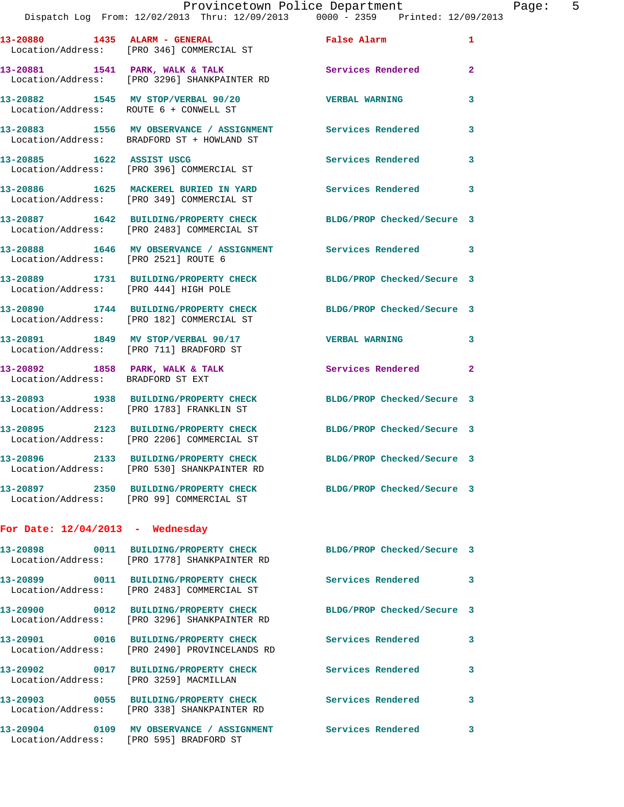## Provincetown Police Department Page: 5 Dispatch Log From: 12/02/2013 Thru: 12/09/2013 0000 - 2359 Printed: 12/09/2013

**13-20880 1435 ALARM - GENERAL False Alarm 1**  Location/Address: [PRO 346] COMMERCIAL ST **13-20881 1541 PARK, WALK & TALK Services Rendered 2**  Location/Address: [PRO 3296] SHANKPAINTER RD

**13-20882 1545 MV STOP/VERBAL 90/20 VERBAL WARNING 3**  Location/Address: ROUTE 6 + CONWELL ST

**13-20883 1556 MV OBSERVANCE / ASSIGNMENT Services Rendered 3**  Location/Address: BRADFORD ST + HOWLAND ST

**13-20885 1622 ASSIST USCG Services Rendered 3**  Location/Address: [PRO 396] COMMERCIAL ST

**13-20886 1625 MACKEREL BURIED IN YARD Services Rendered 3**  Location/Address: [PRO 349] COMMERCIAL ST

**13-20887 1642 BUILDING/PROPERTY CHECK BLDG/PROP Checked/Secure 3**  Location/Address: [PRO 2483] COMMERCIAL ST

**13-20888 1646 MV OBSERVANCE / ASSIGNMENT Services Rendered 3**  Location/Address: [PRO 2521] ROUTE 6

**13-20889 1731 BUILDING/PROPERTY CHECK BLDG/PROP Checked/Secure 3**  Location/Address: [PRO 444] HIGH POLE

**13-20890 1744 BUILDING/PROPERTY CHECK BLDG/PROP Checked/Secure 3**  Location/Address: [PRO 182] COMMERCIAL ST

**13-20891 1849 MV STOP/VERBAL 90/17 VERBAL WARNING 3**  Location/Address: [PRO 711] BRADFORD ST

**13-20892 1858 PARK, WALK & TALK Services Rendered 2**  Location/Address: BRADFORD ST EXT

**13-20893 1938 BUILDING/PROPERTY CHECK BLDG/PROP Checked/Secure 3**  Location/Address: [PRO 1783] FRANKLIN ST

**13-20895 2123 BUILDING/PROPERTY CHECK BLDG/PROP Checked/Secure 3**  Location/Address: [PRO 2206] COMMERCIAL ST

**13-20896 2133 BUILDING/PROPERTY CHECK BLDG/PROP Checked/Secure 3**  Location/Address: [PRO 530] SHANKPAINTER RD

**13-20897 2350 BUILDING/PROPERTY CHECK BLDG/PROP Checked/Secure 3**  Location/Address: [PRO 99] COMMERCIAL ST

## **For Date: 12/04/2013 - Wednesday**

|                                        | Location/Address: [PRO 1778] SHANKPAINTER RD                                        | BLDG/PROP Checked/Secure 3 |              |
|----------------------------------------|-------------------------------------------------------------------------------------|----------------------------|--------------|
|                                        | Location/Address: [PRO 2483] COMMERCIAL ST                                          | Services Rendered          | $\mathbf{3}$ |
|                                        | Location/Address: [PRO 3296] SHANKPAINTER RD                                        | BLDG/PROP Checked/Secure 3 |              |
|                                        | Location/Address: [PRO 2490] PROVINCELANDS RD                                       | <b>Services Rendered</b>   | $\mathbf{3}$ |
| Location/Address: [PRO 3259] MACMILLAN |                                                                                     | Services Rendered          | 3            |
| Location/Address:                      | [PRO 338] SHANKPAINTER RD                                                           | Services Rendered          | 3            |
| Location/Address:                      | 13-20904 0109 MV OBSERVANCE / ASSIGNMENT Services Rendered<br>[PRO 595] BRADFORD ST |                            | 3            |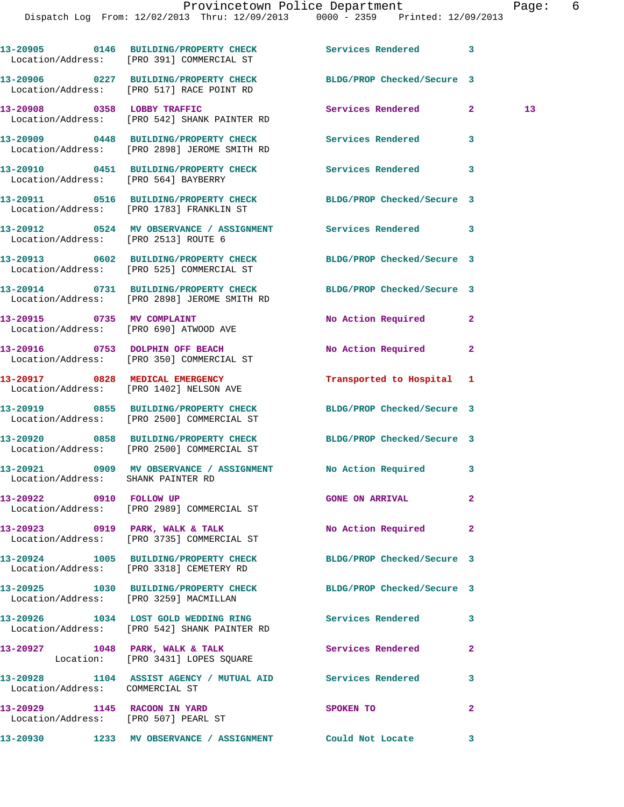|                                                                      | 13-20905 0146 BUILDING/PROPERTY CHECK Services Rendered 3<br>Location/Address: [PRO 391] COMMERCIAL ST         |                            |              |    |
|----------------------------------------------------------------------|----------------------------------------------------------------------------------------------------------------|----------------------------|--------------|----|
|                                                                      | 13-20906 0227 BUILDING/PROPERTY CHECK BLDG/PROP Checked/Secure 3<br>Location/Address: [PRO 517] RACE POINT RD  |                            |              |    |
|                                                                      | 13-20908 0358 LOBBY TRAFFIC<br>Location/Address: [PRO 542] SHANK PAINTER RD                                    | Services Rendered 2        |              | 13 |
|                                                                      | 13-20909 0448 BUILDING/PROPERTY CHECK Services Rendered<br>Location/Address: [PRO 2898] JEROME SMITH RD        |                            | 3            |    |
| Location/Address: [PRO 564] BAYBERRY                                 | 13-20910 0451 BUILDING/PROPERTY CHECK Services Rendered 3                                                      |                            |              |    |
|                                                                      | 13-20911 0516 BUILDING/PROPERTY CHECK<br>Location/Address: [PRO 1783] FRANKLIN ST                              | BLDG/PROP Checked/Secure 3 |              |    |
|                                                                      | 13-20912 0524 MV OBSERVANCE / ASSIGNMENT Services Rendered 3<br>Location/Address: [PRO 2513] ROUTE 6           |                            |              |    |
|                                                                      | 13-20913 0602 BUILDING/PROPERTY CHECK<br>Location/Address: [PRO 525] COMMERCIAL ST                             | BLDG/PROP Checked/Secure 3 |              |    |
|                                                                      | 13-20914 0731 BUILDING/PROPERTY CHECK<br>Location/Address: [PRO 2898] JEROME SMITH RD                          | BLDG/PROP Checked/Secure 3 |              |    |
|                                                                      | 13-20915 0735 MV COMPLAINT<br>Location/Address: [PRO 690] ATWOOD AVE                                           | No Action Required 2       |              |    |
|                                                                      | 13-20916 0753 DOLPHIN OFF BEACH<br>Location/Address: [PRO 350] COMMERCIAL ST                                   | No Action Required         | $\mathbf{2}$ |    |
|                                                                      | 13-20917 0828 MEDICAL EMERGENCY<br>Location/Address: [PRO 1402] NELSON AVE                                     | Transported to Hospital 1  |              |    |
|                                                                      | 13-20919 0855 BUILDING/PROPERTY CHECK<br>Location/Address: [PRO 2500] COMMERCIAL ST                            | BLDG/PROP Checked/Secure 3 |              |    |
|                                                                      | 13-20920 0858 BUILDING/PROPERTY CHECK BLDG/PROP Checked/Secure 3<br>Location/Address: [PRO 2500] COMMERCIAL ST |                            |              |    |
| Location/Address: SHANK PAINTER RD                                   | 13-20921 0909 MV OBSERVANCE / ASSIGNMENT No Action Required 3                                                  |                            |              |    |
| 13-20922 0910 FOLLOW UP                                              | Location/Address: [PRO 2989] COMMERCIAL ST                                                                     | <b>GONE ON ARRIVAL</b>     | 2            |    |
|                                                                      | 13-20923 0919 PARK, WALK & TALK<br>Location/Address: [PRO 3735] COMMERCIAL ST                                  | No Action Required 2       |              |    |
|                                                                      | 13-20924 1005 BUILDING/PROPERTY CHECK<br>Location/Address: [PRO 3318] CEMETERY RD                              | BLDG/PROP Checked/Secure 3 |              |    |
|                                                                      | 13-20925 1030 BUILDING/PROPERTY CHECK BLDG/PROP Checked/Secure 3<br>Location/Address: [PRO 3259] MACMILLAN     |                            |              |    |
|                                                                      | 13-20926 1034 LOST GOLD WEDDING RING Services Rendered 3<br>Location/Address: [PRO 542] SHANK PAINTER RD       |                            |              |    |
|                                                                      | 13-20927 1048 PARK, WALK & TALK 1988 Services Rendered<br>Location: [PRO 3431] LOPES SQUARE                    |                            | $\mathbf{2}$ |    |
| Location/Address: COMMERCIAL ST                                      | 13-20928 1104 ASSIST AGENCY / MUTUAL AID Services Rendered                                                     |                            | 3            |    |
| 13-20929 1145 RACOON IN YARD<br>Location/Address: [PRO 507] PEARL ST |                                                                                                                | SPOKEN TO                  | 2            |    |

**13-20930 1233 MV OBSERVANCE / ASSIGNMENT Could Not Locate 3**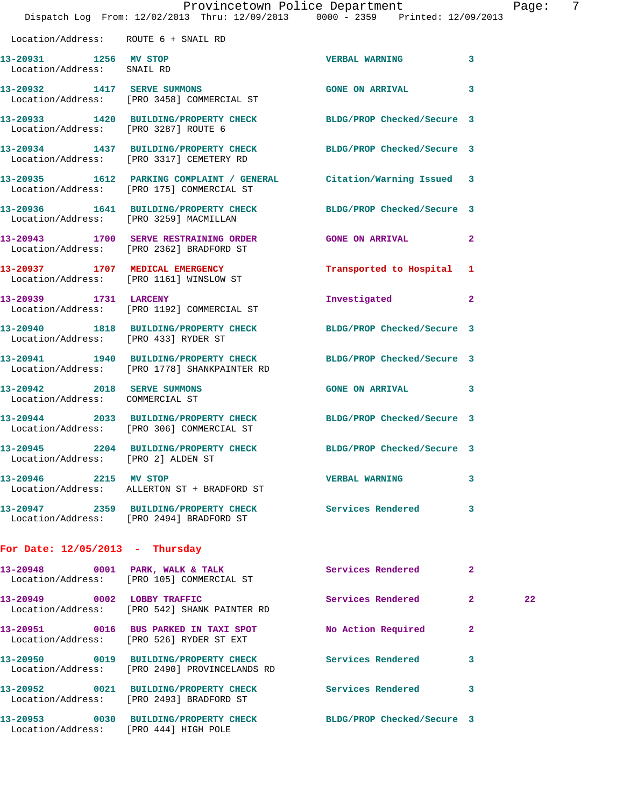|                                                                | Dispatch Log From: 12/02/2013 Thru: 12/09/2013 0000 - 2359 Printed: 12/09/2013                                     | Provincetown Police Department |              | Page: | 7 |
|----------------------------------------------------------------|--------------------------------------------------------------------------------------------------------------------|--------------------------------|--------------|-------|---|
| Location/Address: ROUTE 6 + SNAIL RD                           |                                                                                                                    |                                |              |       |   |
| 13-20931 1256 MV STOP<br>Location/Address: SNAIL RD            |                                                                                                                    | <b>VERBAL WARNING</b>          | 3            |       |   |
|                                                                | 13-20932 1417 SERVE SUMMONS<br>Location/Address: [PRO 3458] COMMERCIAL ST                                          | <b>GONE ON ARRIVAL</b>         | 3            |       |   |
| Location/Address: [PRO 3287] ROUTE 6                           | 13-20933 1420 BUILDING/PROPERTY CHECK BLDG/PROP Checked/Secure 3                                                   |                                |              |       |   |
|                                                                | 13-20934 1437 BUILDING/PROPERTY CHECK BLDG/PROP Checked/Secure 3<br>Location/Address: [PRO 3317] CEMETERY RD       |                                |              |       |   |
|                                                                | 13-20935 1612 PARKING COMPLAINT / GENERAL Citation/Warning Issued 3<br>Location/Address: [PRO 175] COMMERCIAL ST   |                                |              |       |   |
|                                                                | 13-20936   1641   BUILDING/PROPERTY CHECK   BLDG/PROP Checked/Secure   3<br>Location/Address: [PRO 3259] MACMILLAN |                                |              |       |   |
|                                                                | 13-20943 1700 SERVE RESTRAINING ORDER<br>Location/Address: [PRO 2362] BRADFORD ST                                  | <b>GONE ON ARRIVAL</b>         | $\mathbf{2}$ |       |   |
|                                                                | 13-20937 1707 MEDICAL EMERGENCY<br>Location/Address: [PRO 1161] WINSLOW ST                                         | Transported to Hospital 1      |              |       |   |
| 13-20939 1731 LARCENY                                          | Location/Address: [PRO 1192] COMMERCIAL ST                                                                         | Investigated                   | $\mathbf{2}$ |       |   |
| Location/Address: [PRO 433] RYDER ST                           | 13-20940 1818 BUILDING/PROPERTY CHECK BLDG/PROP Checked/Secure 3                                                   |                                |              |       |   |
|                                                                | 13-20941 1940 BUILDING/PROPERTY CHECK<br>Location/Address: [PRO 1778] SHANKPAINTER RD                              | BLDG/PROP Checked/Secure 3     |              |       |   |
| 13-20942 2018 SERVE SUMMONS<br>Location/Address: COMMERCIAL ST |                                                                                                                    | <b>GONE ON ARRIVAL</b>         | 3            |       |   |
|                                                                | 13-20944 2033 BUILDING/PROPERTY CHECK BLDG/PROP Checked/Secure 3<br>Location/Address: [PRO 306] COMMERCIAL ST      |                                |              |       |   |
|                                                                | 13-20945 2204 BUILDING/PROPERTY CHECK BLDG/PROP Checked/Secure 3<br>Location/Address: [PRO 2] ALDEN ST             |                                |              |       |   |
| 13-20946 2215 MV STOP                                          | Location/Address: ALLERTON ST + BRADFORD ST                                                                        | <b>VERBAL WARNING</b>          | 3            |       |   |
|                                                                | 13-20947 2359 BUILDING/PROPERTY CHECK Services Rendered<br>Location/Address: [PRO 2494] BRADFORD ST                |                                | 3            |       |   |
| For Date: $12/05/2013$ - Thursday                              |                                                                                                                    |                                |              |       |   |
|                                                                | 13-20948 0001 PARK, WALK & TALK<br>Location/Address: [PRO 105] COMMERCIAL ST                                       | Services Rendered              | $\mathbf{2}$ |       |   |
| 13-20949 0002 LOBBY TRAFFIC                                    | Location/Address: [PRO 542] SHANK PAINTER RD                                                                       | Services Rendered              | $\mathbf{2}$ | 22    |   |
|                                                                | 13-20951 0016 BUS PARKED IN TAXI SPOT<br>Location/Address: [PRO 526] RYDER ST EXT                                  | No Action Required             | $\mathbf{2}$ |       |   |
|                                                                | 13-20950 0019 BUILDING/PROPERTY CHECK<br>Location/Address: [PRO 2490] PROVINCELANDS RD                             | Services Rendered              | 3            |       |   |
|                                                                | 13-20952 0021 BUILDING/PROPERTY CHECK Services Rendered<br>Location/Address: [PRO 2493] BRADFORD ST                |                                | 3            |       |   |
| Location/Address: [PRO 444] HIGH POLE                          | 13-20953 0030 BUILDING/PROPERTY CHECK                                                                              | BLDG/PROP Checked/Secure 3     |              |       |   |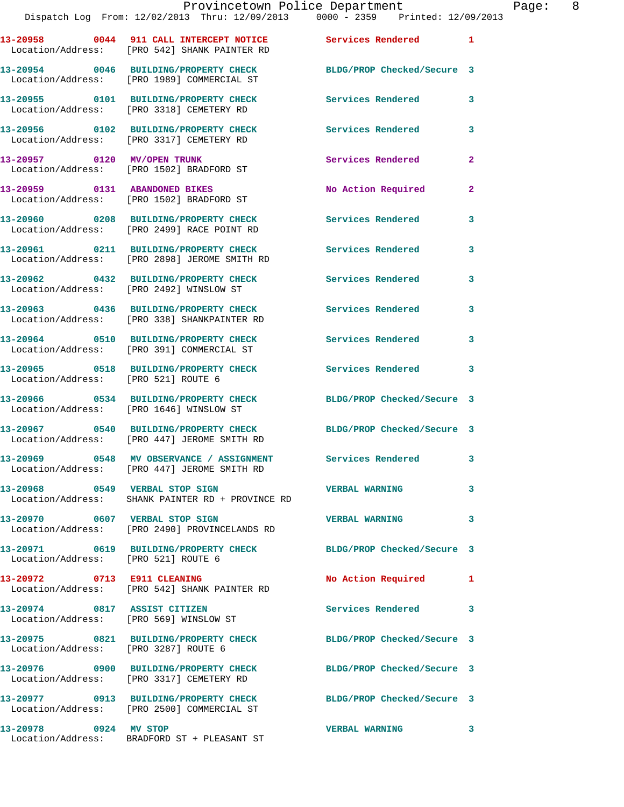|                       | I LOVINCCCOWN LOILCC DOPULCHION<br>Dispatch Log From: 12/02/2013 Thru: 12/09/2013 0000 - 2359 Printed: 12/09/2013 |                            |                |
|-----------------------|-------------------------------------------------------------------------------------------------------------------|----------------------------|----------------|
|                       | 13-20958 0044 911 CALL INTERCEPT NOTICE Services Rendered<br>Location/Address: [PRO 542] SHANK PAINTER RD         |                            | 1              |
|                       | 13-20954 0046 BUILDING/PROPERTY CHECK<br>Location/Address: [PRO 1989] COMMERCIAL ST                               | BLDG/PROP Checked/Secure 3 |                |
|                       | 13-20955 0101 BUILDING/PROPERTY CHECK<br>Location/Address: [PRO 3318] CEMETERY RD                                 | <b>Services Rendered</b>   | 3              |
|                       | 13-20956 0102 BUILDING/PROPERTY CHECK<br>Location/Address: [PRO 3317] CEMETERY RD                                 | <b>Services Rendered</b>   | 3              |
|                       | 13-20957 0120 MV/OPEN TRUNK<br>Location/Address: [PRO 1502] BRADFORD ST                                           | Services Rendered          | 2              |
|                       | 13-20959 0131 ABANDONED BIKES<br>Location/Address: [PRO 1502] BRADFORD ST                                         | <b>No Action Required</b>  | $\overline{a}$ |
|                       | 13-20960 0208 BUILDING/PROPERTY CHECK<br>Location/Address: [PRO 2499] RACE POINT RD                               | <b>Services Rendered</b>   | 3              |
|                       | 13-20961 0211 BUILDING/PROPERTY CHECK Services Rendered<br>Location/Address: [PRO 2898] JEROME SMITH RD           |                            | 3              |
|                       | 13-20962 0432 BUILDING/PROPERTY CHECK<br>Location/Address: [PRO 2492] WINSLOW ST                                  | <b>Services Rendered</b>   | 3              |
|                       | 13-20963 0436 BUILDING/PROPERTY CHECK Services Rendered<br>Location/Address: [PRO 338] SHANKPAINTER RD            |                            | 3              |
|                       | 13-20964 0510 BUILDING/PROPERTY CHECK<br>Location/Address: [PRO 391] COMMERCIAL ST                                | <b>Services Rendered</b>   | 3              |
|                       | 13-20965 0518 BUILDING/PROPERTY CHECK<br>Location/Address: [PRO 521] ROUTE 6                                      | Services Rendered          | 3              |
|                       | 13-20966 0534 BUILDING/PROPERTY CHECK<br>Location/Address: [PRO 1646] WINSLOW ST                                  | BLDG/PROP Checked/Secure 3 |                |
|                       | 13-20967 0540 BUILDING/PROPERTY CHECK<br>Location/Address: [PRO 447] JEROME SMITH RD                              | BLDG/PROP Checked/Secure 3 |                |
|                       | 13-20969 0548 MV OBSERVANCE / ASSIGNMENT Services Rendered 3<br>Location/Address: [PRO 447] JEROME SMITH RD       |                            |                |
|                       | 13-20968 0549 VERBAL STOP SIGN<br>Location/Address: SHANK PAINTER RD + PROVINCE RD                                | <b>VERBAL WARNING</b>      | 3              |
|                       | 13-20970 0607 VERBAL STOP SIGN<br>Location/Address: [PRO 2490] PROVINCELANDS RD                                   | <b>VERBAL WARNING</b>      | 3              |
|                       | 13-20971 0619 BUILDING/PROPERTY CHECK BLDG/PROP Checked/Secure 3<br>Location/Address: [PRO 521] ROUTE 6           |                            |                |
|                       | 13-20972 0713 E911 CLEANING<br>Location/Address: [PRO 542] SHANK PAINTER RD                                       | No Action Required         | 1              |
|                       | 13-20974 0817 ASSIST CITIZEN<br>Location/Address: [PRO 569] WINSLOW ST                                            | Services Rendered          | 3              |
|                       | 13-20975 0821 BUILDING/PROPERTY CHECK BLDG/PROP Checked/Secure 3<br>Location/Address: [PRO 3287] ROUTE 6          |                            |                |
|                       | 13-20976 0900 BUILDING/PROPERTY CHECK BLDG/PROP Checked/Secure 3<br>Location/Address: [PRO 3317] CEMETERY RD      |                            |                |
|                       | 13-20977 0913 BUILDING/PROPERTY CHECK<br>Location/Address: [PRO 2500] COMMERCIAL ST                               | BLDG/PROP Checked/Secure 3 |                |
| 13-20978 0924 MV STOP |                                                                                                                   | <b>VERBAL WARNING</b>      | 3              |

Location/Address: BRADFORD ST + PLEASANT ST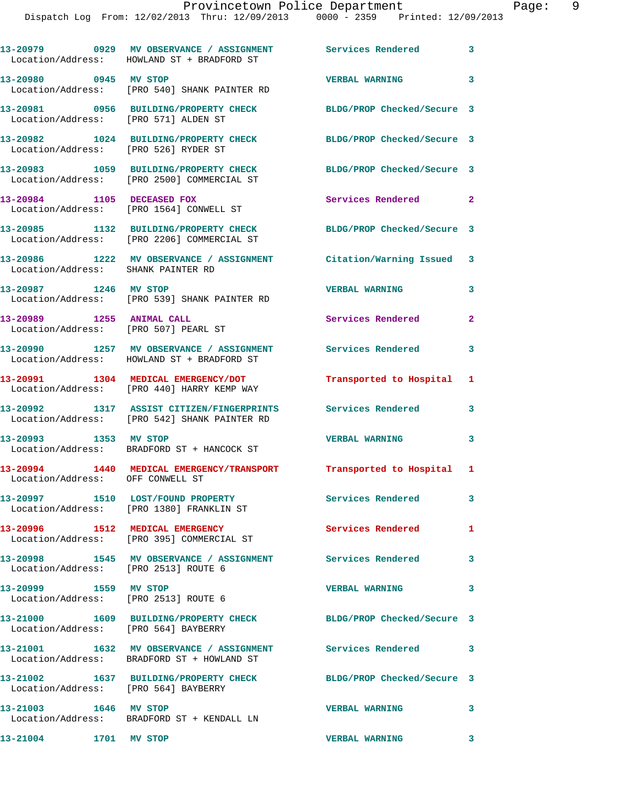|                           | 13-20979 0929 MV OBSERVANCE / ASSIGNMENT Services Rendered 3<br>Location/Address: HOWLAND ST + BRADFORD ST  |                            |                         |
|---------------------------|-------------------------------------------------------------------------------------------------------------|----------------------------|-------------------------|
|                           | 13-20980 0945 MV STOP<br>Location/Address: [PRO 540] SHANK PAINTER RD                                       | <b>VERBAL WARNING</b>      | $\mathbf{3}$            |
|                           | 13-20981 0956 BUILDING/PROPERTY CHECK BLDG/PROP Checked/Secure 3<br>Location/Address: [PRO 571] ALDEN ST    |                            |                         |
|                           | 13-20982 1024 BUILDING/PROPERTY CHECK<br>Location/Address: [PRO 526] RYDER ST                               | BLDG/PROP Checked/Secure 3 |                         |
|                           | 13-20983 1059 BUILDING/PROPERTY CHECK<br>Location/Address: [PRO 2500] COMMERCIAL ST                         | BLDG/PROP Checked/Secure 3 |                         |
|                           | 13-20984 1105 DECEASED FOX<br>Location/Address: [PRO 1564] CONWELL ST                                       | Services Rendered 2        |                         |
|                           | 13-20985 1132 BUILDING/PROPERTY CHECK<br>Location/Address: [PRO 2206] COMMERCIAL ST                         | BLDG/PROP Checked/Secure 3 |                         |
|                           | 13-20986 1222 MV OBSERVANCE / ASSIGNMENT Citation/Warning Issued 3<br>Location/Address: SHANK PAINTER RD    |                            |                         |
|                           | 13-20987 1246 MV STOP<br>Location/Address: [PRO 539] SHANK PAINTER RD                                       | <b>VERBAL WARNING</b>      | 3                       |
| 13-20989 1255 ANIMAL CALL | Location/Address: [PRO 507] PEARL ST                                                                        | <b>Services Rendered</b>   | $\overline{2}$          |
|                           | 13-20990 1257 MV OBSERVANCE / ASSIGNMENT Services Rendered<br>Location/Address: HOWLAND ST + BRADFORD ST    |                            | 3                       |
|                           | 13-20991 1304 MEDICAL EMERGENCY/DOT<br>Location/Address: [PRO 440] HARRY KEMP WAY                           | Transported to Hospital 1  |                         |
|                           | 13-20992 1317 ASSIST CITIZEN/FINGERPRINTS Services Rendered<br>Location/Address: [PRO 542] SHANK PAINTER RD |                            | 3                       |
| 13-20993 1353 MV STOP     | Location/Address: BRADFORD ST + HANCOCK ST                                                                  | <b>VERBAL WARNING</b>      | 3                       |
|                           | 13-20994 1440 MEDICAL EMERGENCY/TRANSPORT Transported to Hospital 1<br>Location/Address: OFF CONWELL ST     |                            |                         |
|                           | 13-20997 1510 LOST/FOUND PROPERTY<br>Location/Address: [PRO 1380] FRANKLIN ST                               | Services Rendered          | $\mathbf{3}$            |
|                           | 13-20996 1512 MEDICAL EMERGENCY<br>Location/Address: [PRO 395] COMMERCIAL ST                                | <b>Services Rendered</b>   | 1                       |
|                           | 13-20998 1545 MV OBSERVANCE / ASSIGNMENT Services Rendered<br>Location/Address: [PRO 2513] ROUTE 6          | $\sim$ 3                   |                         |
|                           | 13-20999 1559 MV STOP<br>Location/Address: [PRO 2513] ROUTE 6                                               | <b>VERBAL WARNING</b>      | $\overline{\mathbf{3}}$ |
|                           | 13-21000 1609 BUILDING/PROPERTY CHECK BLDG/PROP Checked/Secure 3<br>Location/Address: [PRO 564] BAYBERRY    |                            |                         |
|                           | 13-21001 1632 MV OBSERVANCE / ASSIGNMENT Services Rendered 3<br>Location/Address: BRADFORD ST + HOWLAND ST  |                            |                         |
|                           | 13-21002 1637 BUILDING/PROPERTY CHECK BLDG/PROP Checked/Secure 3<br>Location/Address: [PRO 564] BAYBERRY    |                            |                         |
|                           | Location/Address: BRADFORD ST + KENDALL LN                                                                  | <b>VERBAL WARNING</b>      | $\mathbf{3}$            |
| 13-21004 1701 MV STOP     |                                                                                                             | <b>VERBAL WARNING</b>      | $\overline{\mathbf{3}}$ |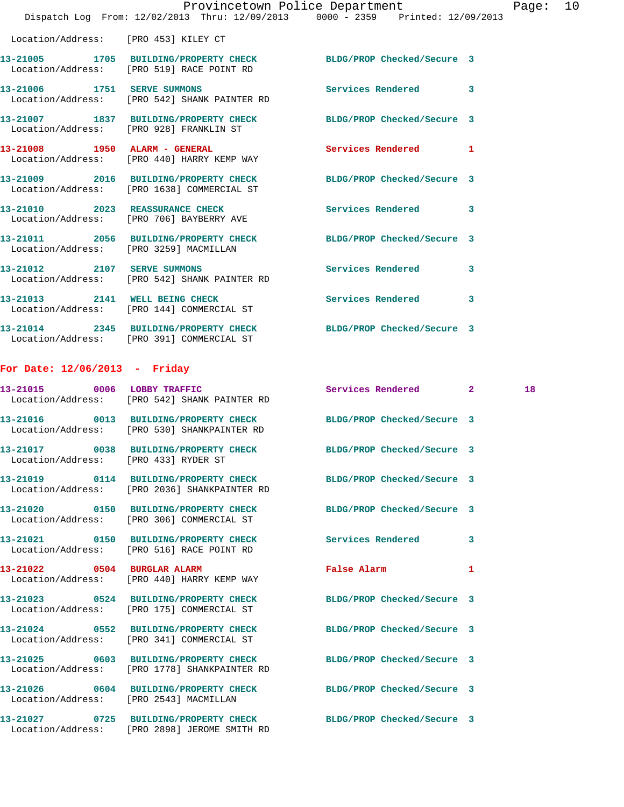|                                      | Dispatch Log From: 12/02/2013 Thru: 12/09/2013 0000 - 2359 Printed: 12/09/2013                                   | Provincetown Police Department                                                                                 |   | Page: | 10 |
|--------------------------------------|------------------------------------------------------------------------------------------------------------------|----------------------------------------------------------------------------------------------------------------|---|-------|----|
| Location/Address: [PRO 453] KILEY CT |                                                                                                                  |                                                                                                                |   |       |    |
|                                      | 13-21005 1705 BUILDING/PROPERTY CHECK BLDG/PROP Checked/Secure 3<br>Location/Address: [PRO 519] RACE POINT RD    |                                                                                                                |   |       |    |
|                                      | 13-21006 1751 SERVE SUMMONS<br>Location/Address: [PRO 542] SHANK PAINTER RD                                      | <b>Services Rendered</b>                                                                                       | 3 |       |    |
|                                      | 13-21007 1837 BUILDING/PROPERTY CHECK BLDG/PROP Checked/Secure 3<br>Location/Address: [PRO 928] FRANKLIN ST      |                                                                                                                |   |       |    |
|                                      | 13-21008 1950 ALARM - GENERAL<br>Location/Address: [PRO 440] HARRY KEMP WAY                                      | Services Rendered 1                                                                                            |   |       |    |
|                                      | 13-21009 2016 BUILDING/PROPERTY CHECK BLDG/PROP Checked/Secure 3<br>Location/Address: [PRO 1638] COMMERCIAL ST   |                                                                                                                |   |       |    |
|                                      | 13-21010 2023 REASSURANCE CHECK<br>Location/Address: [PRO 706] BAYBERRY AVE                                      | <b>Services Rendered</b>                                                                                       | 3 |       |    |
|                                      | 13-21011 2056 BUILDING/PROPERTY CHECK BLDG/PROP Checked/Secure 3<br>Location/Address: [PRO 3259] MACMILLAN       |                                                                                                                |   |       |    |
|                                      | 13-21012 2107 SERVE SUMMONS<br>Location/Address: [PRO 542] SHANK PAINTER RD                                      | Services Rendered                                                                                              | 3 |       |    |
|                                      | 13-21013 2141 WELL BEING CHECK<br>Location/Address: [PRO 144] COMMERCIAL ST                                      | Services Rendered                                                                                              | 3 |       |    |
|                                      | 13-21014 2345 BUILDING/PROPERTY CHECK BLDG/PROP Checked/Secure 3<br>Location/Address: [PRO 391] COMMERCIAL ST    |                                                                                                                |   |       |    |
| For Date: $12/06/2013$ - Friday      |                                                                                                                  |                                                                                                                |   |       |    |
|                                      | 13-21015 0006 LOBBY TRAFFIC<br>Location/Address: [PRO 542] SHANK PAINTER RD                                      | Services Rendered 2                                                                                            |   | 18    |    |
|                                      | 13-21016 0013 BUILDING/PROPERTY CHECK<br>Location/Address: [PRO 530] SHANKPAINTER RD                             | BLDG/PROP Checked/Secure 3                                                                                     |   |       |    |
| Location/Address: [PRO 433] RYDER ST | 13-21017 0038 BUILDING/PROPERTY CHECK BLDG/PROP Checked/Secure 3                                                 |                                                                                                                |   |       |    |
|                                      | 13-21019 0114 BUILDING/PROPERTY CHECK BLDG/PROP Checked/Secure 3<br>Location/Address: [PRO 2036] SHANKPAINTER RD |                                                                                                                |   |       |    |
|                                      | 13-21020 0150 BUILDING/PROPERTY CHECK BLDG/PROP Checked/Secure 3<br>Location/Address: [PRO 306] COMMERCIAL ST    |                                                                                                                |   |       |    |
|                                      | 13-21021 0150 BUILDING/PROPERTY CHECK Services Rendered<br>Location/Address: [PRO 516] RACE POINT RD             |                                                                                                                | 3 |       |    |
|                                      | 13-21022 0504 BURGLAR ALARM<br>Location/Address: [PRO 440] HARRY KEMP WAY                                        | False Alarm and the state of the state of the state of the state of the state of the state of the state of the | 1 |       |    |
|                                      | 13-21023 0524 BUILDING/PROPERTY CHECK BLDG/PROP Checked/Secure 3<br>Location/Address: [PRO 175] COMMERCIAL ST    |                                                                                                                |   |       |    |
|                                      | 13-21024 0552 BUILDING/PROPERTY CHECK BLDG/PROP Checked/Secure 3<br>Location/Address: [PRO 341] COMMERCIAL ST    |                                                                                                                |   |       |    |
|                                      | 13-21025 0603 BUILDING/PROPERTY CHECK BLDG/PROP Checked/Secure 3<br>Location/Address: [PRO 1778] SHANKPAINTER RD |                                                                                                                |   |       |    |
|                                      | 13-21026 0604 BUILDING/PROPERTY CHECK BLDG/PROP Checked/Secure 3<br>Location/Address: [PRO 2543] MACMILLAN       |                                                                                                                |   |       |    |
|                                      | 13-21027 0725 BUILDING/PROPERTY CHECK BLDG/PROP Checked/Secure 3<br>Location/Address: [PRO 2898] JEROME SMITH RD |                                                                                                                |   |       |    |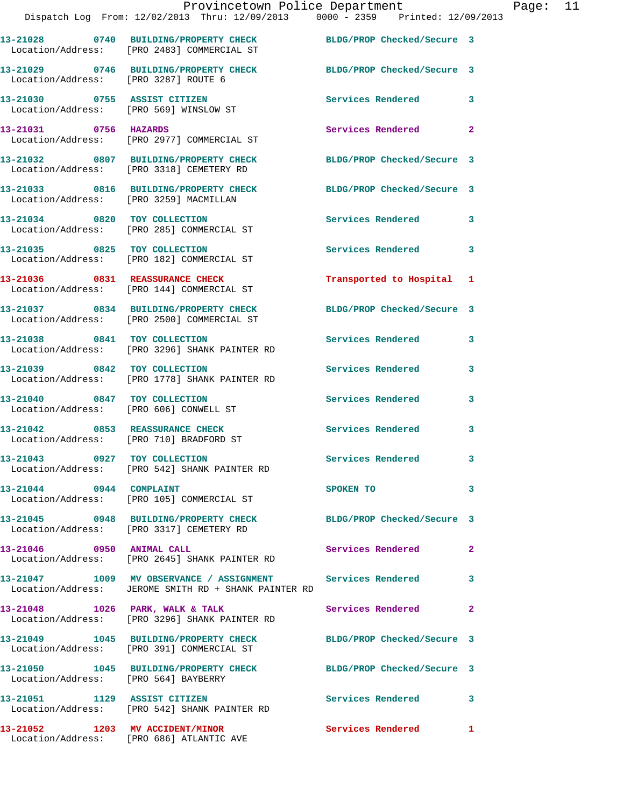|                                      | Provincetown Police Department<br>Dispatch Log From: 12/02/2013 Thru: 12/09/2013 0000 - 2359 Printed: 12/09/2013   |                            |                |
|--------------------------------------|--------------------------------------------------------------------------------------------------------------------|----------------------------|----------------|
|                                      | 13-21028 0740 BUILDING/PROPERTY CHECK BLDG/PROP Checked/Secure 3<br>Location/Address: [PRO 2483] COMMERCIAL ST     |                            |                |
| Location/Address: [PRO 3287] ROUTE 6 | 13-21029 0746 BUILDING/PROPERTY CHECK                                                                              | BLDG/PROP Checked/Secure 3 |                |
|                                      | 13-21030 0755 ASSIST CITIZEN<br>Location/Address: [PRO 569] WINSLOW ST                                             | <b>Services Rendered</b>   | 3              |
| 13-21031 0756 HAZARDS                | Location/Address: [PRO 2977] COMMERCIAL ST                                                                         | <b>Services Rendered</b>   | $\overline{a}$ |
|                                      | 13-21032 0807 BUILDING/PROPERTY CHECK BLDG/PROP Checked/Secure 3<br>Location/Address: [PRO 3318] CEMETERY RD       |                            |                |
|                                      | 13-21033 0816 BUILDING/PROPERTY CHECK BLDG/PROP Checked/Secure 3<br>Location/Address: [PRO 3259] MACMILLAN         |                            |                |
|                                      | 13-21034 0820 TOY COLLECTION<br>Location/Address: [PRO 285] COMMERCIAL ST                                          | <b>Services Rendered</b>   | 3              |
| 13-21035 0825 TOY COLLECTION         | Location/Address: [PRO 182] COMMERCIAL ST                                                                          | Services Rendered          | 3              |
|                                      | 13-21036 0831 REASSURANCE CHECK<br>Location/Address: [PRO 144] COMMERCIAL ST                                       | Transported to Hospital 1  |                |
|                                      | 13-21037 0834 BUILDING/PROPERTY CHECK<br>Location/Address: [PRO 2500] COMMERCIAL ST                                | BLDG/PROP Checked/Secure 3 |                |
|                                      | 13-21038 0841 TOY COLLECTION<br>Location/Address: [PRO 3296] SHANK PAINTER RD                                      | <b>Services Rendered</b>   | 3              |
|                                      | 13-21039 0842 TOY COLLECTION<br>Location/Address: [PRO 1778] SHANK PAINTER RD                                      | Services Rendered          | 3              |
|                                      | 13-21040 0847 TOY COLLECTION<br>Location/Address: [PRO 606] CONWELL ST                                             | <b>Services Rendered</b>   | 3              |
|                                      | 13-21042 0853 REASSURANCE CHECK<br>Location/Address: [PRO 710] BRADFORD ST                                         | <b>Services Rendered</b>   | 3              |
| 13-21043 0927 TOY COLLECTION         | Location/Address: [PRO 542] SHANK PAINTER RD                                                                       | Services Rendered          | 3              |
| 13-21044 0944 COMPLAINT              | Location/Address: [PRO 105] COMMERCIAL ST                                                                          | SPOKEN TO                  | 3              |
|                                      | 13-21045 0948 BUILDING/PROPERTY CHECK BLDG/PROP Checked/Secure 3<br>Location/Address: [PRO 3317] CEMETERY RD       |                            |                |
| 13-21046 0950 ANIMAL CALL            | Location/Address: [PRO 2645] SHANK PAINTER RD                                                                      | Services Rendered          | $\mathbf{2}$   |
|                                      | 13-21047 1009 MV OBSERVANCE / ASSIGNMENT Services Rendered<br>Location/Address: JEROME SMITH RD + SHANK PAINTER RD |                            | 3              |
| 13-21048 1026 PARK, WALK & TALK      | Location/Address: [PRO 3296] SHANK PAINTER RD                                                                      | Services Rendered          | $\mathbf{2}$   |
|                                      | 13-21049 1045 BUILDING/PROPERTY CHECK<br>Location/Address: [PRO 391] COMMERCIAL ST                                 | BLDG/PROP Checked/Secure 3 |                |
| Location/Address: [PRO 564] BAYBERRY | 13-21050 1045 BUILDING/PROPERTY CHECK                                                                              | BLDG/PROP Checked/Secure 3 |                |
| 13-21051 1129 ASSIST CITIZEN         | Location/Address: [PRO 542] SHANK PAINTER RD                                                                       | <b>Services Rendered</b>   | 3              |
|                                      | 13-21052 1203 MV ACCIDENT/MINOR                                                                                    | <b>Services Rendered</b>   | $\mathbf{1}$   |

Location/Address: [PRO 686] ATLANTIC AVE

Page: 11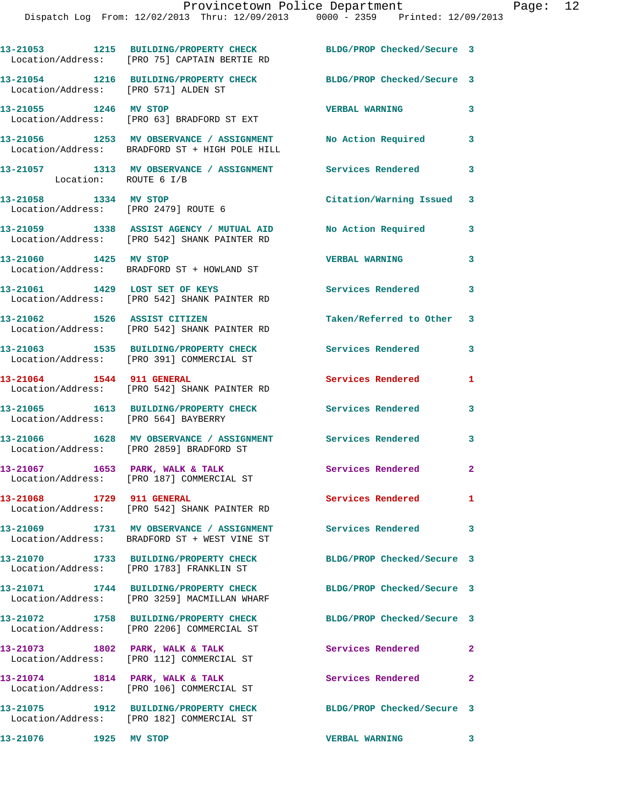|                                      | 13-21053 1215 BUILDING/PROPERTY CHECK<br>Location/Address: [PRO 75] CAPTAIN BERTIE RD                         | BLDG/PROP Checked/Secure 3 |                |
|--------------------------------------|---------------------------------------------------------------------------------------------------------------|----------------------------|----------------|
| Location/Address: [PRO 571] ALDEN ST | 13-21054 1216 BUILDING/PROPERTY CHECK                                                                         | BLDG/PROP Checked/Secure 3 |                |
| 13-21055 1246 MV STOP                | Location/Address: [PRO 63] BRADFORD ST EXT                                                                    | <b>VERBAL WARNING</b>      | 3              |
|                                      | 13-21056 1253 MV OBSERVANCE / ASSIGNMENT No Action Required<br>Location/Address: BRADFORD ST + HIGH POLE HILL |                            | 3              |
| Location: ROUTE 6 I/B                | 13-21057 1313 MV OBSERVANCE / ASSIGNMENT Services Rendered                                                    |                            | 3              |
| 13-21058 1334 MV STOP                | Location/Address: [PRO 2479] ROUTE 6                                                                          | Citation/Warning Issued 3  |                |
|                                      | 13-21059 1338 ASSIST AGENCY / MUTUAL AID<br>Location/Address: [PRO 542] SHANK PAINTER RD                      | No Action Required         | 3              |
|                                      | 13-21060 1425 MV STOP<br>Location/Address: BRADFORD ST + HOWLAND ST                                           | <b>VERBAL WARNING</b>      | 3              |
| 13-21061 1429 LOST SET OF KEYS       | Location/Address: [PRO 542] SHANK PAINTER RD                                                                  | Services Rendered 3        |                |
| 13-21062 1526 ASSIST CITIZEN         | Location/Address: [PRO 542] SHANK PAINTER RD                                                                  | Taken/Referred to Other 3  |                |
|                                      | 13-21063 1535 BUILDING/PROPERTY CHECK<br>Location/Address: [PRO 391] COMMERCIAL ST                            | Services Rendered          | 3              |
|                                      | 13-21064 1544 911 GENERAL<br>Location/Address: [PRO 542] SHANK PAINTER RD                                     | <b>Services Rendered</b>   | 1              |
| Location/Address: [PRO 564] BAYBERRY | 13-21065 1613 BUILDING/PROPERTY CHECK                                                                         | Services Rendered          | 3              |
|                                      | 13-21066 1628 MV OBSERVANCE / ASSIGNMENT Services Rendered<br>Location/Address: [PRO 2859] BRADFORD ST        |                            | 3              |
|                                      | $13-21067$ 1653 PARK, WALK & TALK<br>Location/Address: [PRO 187] COMMERCIAL ST                                | Services Rendered          | $\overline{a}$ |
| 13-21068 1729 911 GENERAL            | Location/Address: [PRO 542] SHANK PAINTER RD                                                                  | Services Rendered          | $\mathbf{1}$   |
|                                      | 13-21069 1731 MV OBSERVANCE / ASSIGNMENT<br>Location/Address: BRADFORD ST + WEST VINE ST                      | <b>Services Rendered</b>   | 3              |
|                                      | 13-21070 1733 BUILDING/PROPERTY CHECK<br>Location/Address: [PRO 1783] FRANKLIN ST                             | BLDG/PROP Checked/Secure 3 |                |
|                                      | 13-21071 1744 BUILDING/PROPERTY CHECK<br>Location/Address: [PRO 3259] MACMILLAN WHARF                         | BLDG/PROP Checked/Secure 3 |                |
|                                      | 13-21072 1758 BUILDING/PROPERTY CHECK<br>Location/Address: [PRO 2206] COMMERCIAL ST                           | BLDG/PROP Checked/Secure 3 |                |
| 13-21073 1802 PARK, WALK & TALK      | Location/Address: [PRO 112] COMMERCIAL ST                                                                     | Services Rendered          | $\mathbf{2}$   |
|                                      | 13-21074 1814 PARK, WALK & TALK<br>Location/Address: [PRO 106] COMMERCIAL ST                                  | Services Rendered          | $\mathbf{2}$   |
|                                      | 13-21075 1912 BUILDING/PROPERTY CHECK<br>Location/Address: [PRO 182] COMMERCIAL ST                            | BLDG/PROP Checked/Secure 3 |                |

**13-21076 1925 MV STOP VERBAL WARNING 3**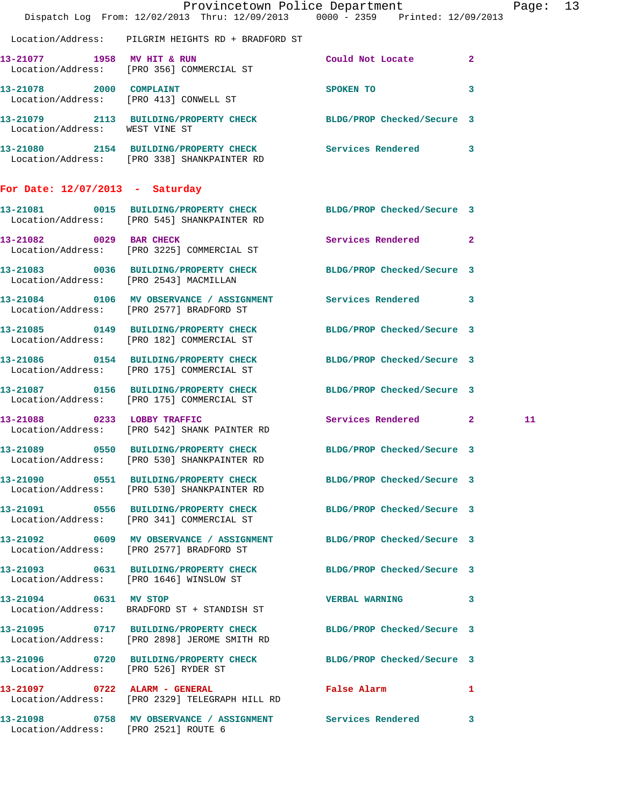|                                                                   | Dispatch Log From: 12/02/2013 Thru: 12/09/2013 0000 - 2359 Printed: 12/09/2013                                   | Provincetown Police Department |   | Page: 13 |  |
|-------------------------------------------------------------------|------------------------------------------------------------------------------------------------------------------|--------------------------------|---|----------|--|
|                                                                   | Location/Address: PILGRIM HEIGHTS RD + BRADFORD ST                                                               |                                |   |          |  |
| 13-21077 1958 MV HIT & RUN                                        | Location/Address: [PRO 356] COMMERCIAL ST                                                                        | Could Not Locate 2             |   |          |  |
| 13-21078 2000 COMPLAINT<br>Location/Address: [PRO 413] CONWELL ST |                                                                                                                  | SPOKEN TO                      | 3 |          |  |
| Location/Address: WEST VINE ST                                    | 13-21079 2113 BUILDING/PROPERTY CHECK BLDG/PROP Checked/Secure 3                                                 |                                |   |          |  |
|                                                                   | 13-21080 2154 BUILDING/PROPERTY CHECK Services Rendered 3<br>Location/Address: [PRO 338] SHANKPAINTER RD         |                                |   |          |  |
| For Date: $12/07/2013$ - Saturday                                 |                                                                                                                  |                                |   |          |  |
|                                                                   | 13-21081 0015 BUILDING/PROPERTY CHECK BLDG/PROP Checked/Secure 3<br>Location/Address: [PRO 545] SHANKPAINTER RD  |                                |   |          |  |
| 13-21082 0029 BAR CHECK                                           | Location/Address: [PRO 3225] COMMERCIAL ST                                                                       | Services Rendered 2            |   |          |  |
| Location/Address: [PRO 2543] MACMILLAN                            | 13-21083 0036 BUILDING/PROPERTY CHECK BLDG/PROP Checked/Secure 3                                                 |                                |   |          |  |
|                                                                   | 13-21084 0106 MV OBSERVANCE / ASSIGNMENT Services Rendered 3<br>Location/Address: [PRO 2577] BRADFORD ST         |                                |   |          |  |
|                                                                   | 13-21085 0149 BUILDING/PROPERTY CHECK BLDG/PROP Checked/Secure 3<br>Location/Address: [PRO 182] COMMERCIAL ST    |                                |   |          |  |
|                                                                   | 13-21086 0154 BUILDING/PROPERTY CHECK BLDG/PROP Checked/Secure 3<br>Location/Address: [PRO 175] COMMERCIAL ST    |                                |   |          |  |
|                                                                   | 13-21087 0156 BUILDING/PROPERTY CHECK BLDG/PROP Checked/Secure 3<br>Location/Address: [PRO 175] COMMERCIAL ST    |                                |   |          |  |
|                                                                   | 13-21088 0233 LOBBY TRAFFIC<br>Location/Address: [PRO 542] SHANK PAINTER RD                                      | Services Rendered 2            |   | 11       |  |
|                                                                   | 13-21089 0550 BUILDING/PROPERTY CHECK BLDG/PROP Checked/Secure 3<br>Location/Address: [PRO 530] SHANKPAINTER RD  |                                |   |          |  |
|                                                                   | 13-21090 0551 BUILDING/PROPERTY CHECK BLDG/PROP Checked/Secure 3<br>Location/Address: [PRO 530] SHANKPAINTER RD  |                                |   |          |  |
|                                                                   | 13-21091 0556 BUILDING/PROPERTY CHECK BLDG/PROP Checked/Secure 3<br>Location/Address: [PRO 341] COMMERCIAL ST    |                                |   |          |  |
|                                                                   | 13-21092 0609 MV OBSERVANCE / ASSIGNMENT BLDG/PROP Checked/Secure 3<br>Location/Address: [PRO 2577] BRADFORD ST  |                                |   |          |  |
|                                                                   | 13-21093 0631 BUILDING/PROPERTY CHECK BLDG/PROP Checked/Secure 3<br>Location/Address: [PRO 1646] WINSLOW ST      |                                |   |          |  |
| 13-21094 0631 MV STOP                                             | Location/Address: BRADFORD ST + STANDISH ST                                                                      | <b>VERBAL WARNING</b>          | 3 |          |  |
|                                                                   | 13-21095 0717 BUILDING/PROPERTY CHECK BLDG/PROP Checked/Secure 3<br>Location/Address: [PRO 2898] JEROME SMITH RD |                                |   |          |  |
| Location/Address: [PRO 526] RYDER ST                              | 13-21096 0720 BUILDING/PROPERTY CHECK BLDG/PROP Checked/Secure 3                                                 |                                |   |          |  |
|                                                                   | 13-21097 0722 ALARM - GENERAL<br>Location/Address: [PRO 2329] TELEGRAPH HILL RD                                  | False Alarm 1                  |   |          |  |
| Location/Address: [PRO 2521] ROUTE 6                              | 13-21098 0758 MV OBSERVANCE / ASSIGNMENT Services Rendered                                                       |                                | 3 |          |  |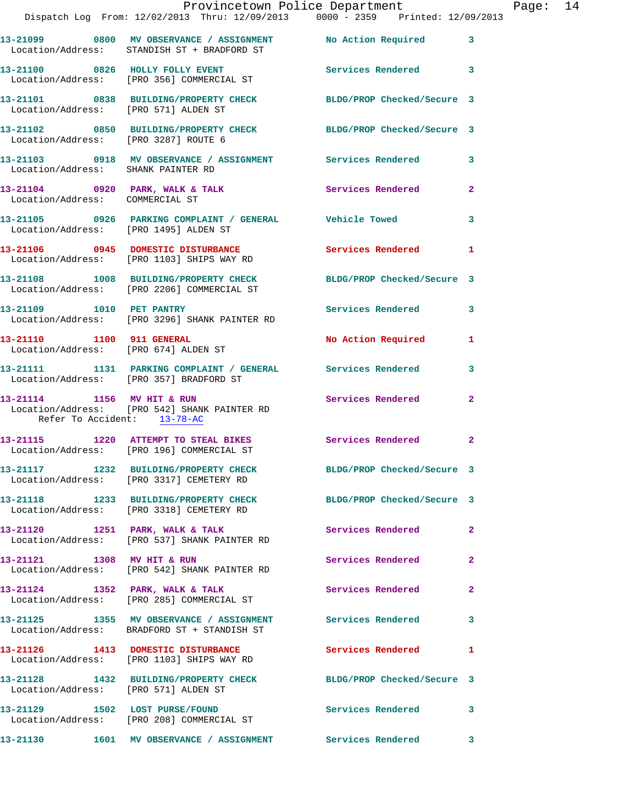|                                       | Dispatch Log From: 12/02/2013 Thru: 12/09/2013 0000 - 2359 Printed: 12/09/2013                                              | Provincetown Police Department |                | Page: 14 |  |
|---------------------------------------|-----------------------------------------------------------------------------------------------------------------------------|--------------------------------|----------------|----------|--|
|                                       | 13-21099 0800 MV OBSERVANCE / ASSIGNMENT No Action Required 3<br>Location/Address: STANDISH ST + BRADFORD ST                |                                |                |          |  |
|                                       | 13-21100 0826 HOLLY FOLLY EVENT Services Rendered 3<br>Location/Address: [PRO 356] COMMERCIAL ST                            |                                |                |          |  |
|                                       | 13-21101 0838 BUILDING/PROPERTY CHECK BLDG/PROP Checked/Secure 3<br>Location/Address: [PRO 571] ALDEN ST                    |                                |                |          |  |
|                                       | 13-21102 0850 BUILDING/PROPERTY CHECK BLDG/PROP Checked/Secure 3<br>Location/Address: [PRO 3287] ROUTE 6                    |                                |                |          |  |
|                                       | 13-21103 0918 MV OBSERVANCE / ASSIGNMENT Services Rendered 3<br>Location/Address: SHANK PAINTER RD                          |                                |                |          |  |
| Location/Address: COMMERCIAL ST       | 13-21104 0920 PARK, WALK & TALK Services Rendered                                                                           |                                | $\overline{a}$ |          |  |
| Location/Address: [PRO 1495] ALDEN ST | 13-21105 0926 PARKING COMPLAINT / GENERAL Vehicle Towed                                                                     |                                | 3              |          |  |
|                                       | 13-21106 0945 DOMESTIC DISTURBANCE Services Rendered<br>Location/Address: [PRO 1103] SHIPS WAY RD                           |                                | $\mathbf{1}$   |          |  |
|                                       | 13-21108 1008 BUILDING/PROPERTY CHECK BLDG/PROP Checked/Secure 3<br>Location/Address: [PRO 2206] COMMERCIAL ST              |                                |                |          |  |
|                                       | 13-21109 1010 PET PANTRY<br>Location/Address: [PRO 3296] SHANK PAINTER RD                                                   | Services Rendered              | 3              |          |  |
|                                       | 13-21110 1100 911 GENERAL<br>Location/Address: [PRO 674] ALDEN ST                                                           | No Action Required 1           |                |          |  |
|                                       | 13-21111 1131 PARKING COMPLAINT / GENERAL Services Rendered<br>Location/Address: [PRO 357] BRADFORD ST                      |                                | 3              |          |  |
|                                       | 13-21114 1156 MV HIT & RUN Services Rendered<br>Location/Address: [PRO 542] SHANK PAINTER RD<br>Refer To Accident: 13-78-AC |                                | $\mathbf{2}$   |          |  |
|                                       | 13-21115 1220 ATTEMPT TO STEAL BIKES<br>Location/Address: [PRO 196] COMMERCIAL ST                                           | Services Rendered              | $\mathbf{2}$   |          |  |
|                                       | 13-21117 1232 BUILDING/PROPERTY CHECK<br>Location/Address: [PRO 3317] CEMETERY RD                                           | BLDG/PROP Checked/Secure 3     |                |          |  |
|                                       | 13-21118 1233 BUILDING/PROPERTY CHECK BLDG/PROP Checked/Secure 3<br>Location/Address: [PRO 3318] CEMETERY RD                |                                |                |          |  |
|                                       | 13-21120 1251 PARK, WALK & TALK<br>Location/Address: [PRO 537] SHANK PAINTER RD                                             | Services Rendered 2            |                |          |  |
|                                       | 13-21121 1308 MV HIT & RUN<br>Location/Address: [PRO 542] SHANK PAINTER RD                                                  | Services Rendered              | $\mathbf{2}$   |          |  |
|                                       | 13-21124 1352 PARK, WALK & TALK 1988 Services Rendered<br>Location/Address: [PRO 285] COMMERCIAL ST                         |                                | $\overline{a}$ |          |  |
|                                       | 13-21125 1355 MV OBSERVANCE / ASSIGNMENT Services Rendered<br>Location/Address: BRADFORD ST + STANDISH ST                   |                                | 3              |          |  |
|                                       | 13-21126 1413 DOMESTIC DISTURBANCE Services Rendered<br>Location/Address: [PRO 1103] SHIPS WAY RD                           |                                | $\mathbf{1}$   |          |  |
|                                       | 13-21128 1432 BUILDING/PROPERTY CHECK BLDG/PROP Checked/Secure 3<br>Location/Address: [PRO 571] ALDEN ST                    |                                |                |          |  |
|                                       | 13-21129 1502 LOST PURSE/FOUND<br>Location/Address: [PRO 208] COMMERCIAL ST                                                 | Services Rendered              | 3              |          |  |
|                                       |                                                                                                                             |                                | 3              |          |  |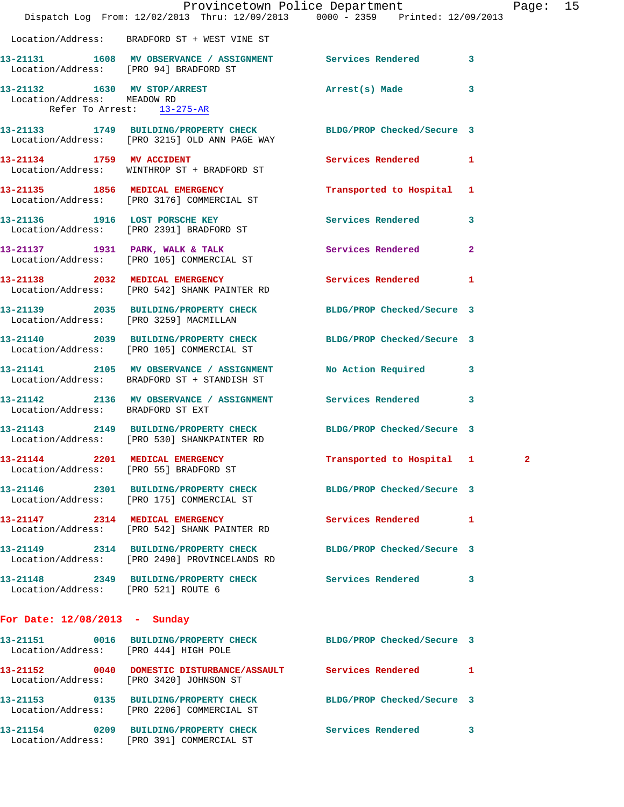|                                                           |                                                                                         | Provincetown Police Department                                                 | Page: 15 |  |
|-----------------------------------------------------------|-----------------------------------------------------------------------------------------|--------------------------------------------------------------------------------|----------|--|
|                                                           |                                                                                         | Dispatch Log From: 12/02/2013 Thru: 12/09/2013 0000 - 2359 Printed: 12/09/2013 |          |  |
|                                                           | Location/Address: BRADFORD ST + WEST VINE ST                                            |                                                                                |          |  |
|                                                           | Location/Address: [PRO 94] BRADFORD ST                                                  | 13-21131 1608 MV OBSERVANCE / ASSIGNMENT Services Rendered 3                   |          |  |
| Location/Address: MEADOW RD<br>Refer To Arrest: 13-275-AR |                                                                                         | 13-21132 1630 MV STOP/ARREST Arrest(s) Made 3                                  |          |  |
|                                                           |                                                                                         |                                                                                |          |  |
|                                                           | Location/Address: [PRO 3215] OLD ANN PAGE WAY                                           | 13-21133 1749 BUILDING/PROPERTY CHECK BLDG/PROP Checked/Secure 3               |          |  |
|                                                           | 13-21134 1759 MV ACCIDENT<br>Location/Address: WINTHROP ST + BRADFORD ST                | Services Rendered 1                                                            |          |  |
|                                                           | 13-21135 1856 MEDICAL EMERGENCY<br>Location/Address: [PRO 3176] COMMERCIAL ST           | Transported to Hospital 1                                                      |          |  |
|                                                           | 13-21136 1916 LOST PORSCHE KEY<br>Location/Address: [PRO 2391] BRADFORD ST              | Services Rendered 3                                                            |          |  |
|                                                           | Location/Address: [PRO 105] COMMERCIAL ST                                               | 13-21137 1931 PARK, WALK & TALK Services Rendered 2                            |          |  |
|                                                           | Location/Address: [PRO 542] SHANK PAINTER RD                                            | 13-21138 2032 MEDICAL EMERGENCY Services Rendered 1                            |          |  |
|                                                           | Location/Address: [PRO 3259] MACMILLAN                                                  | 13-21139 2035 BUILDING/PROPERTY CHECK BLDG/PROP Checked/Secure 3               |          |  |
|                                                           | Location/Address: [PRO 105] COMMERCIAL ST                                               | 13-21140 2039 BUILDING/PROPERTY CHECK BLDG/PROP Checked/Secure 3               |          |  |
|                                                           | 13-21141 2105 MV OBSERVANCE / ASSIGNMENT<br>Location/Address: BRADFORD ST + STANDISH ST | No Action Required 3                                                           |          |  |
| Location/Address: BRADFORD ST EXT                         |                                                                                         | 13-21142 2136 MV OBSERVANCE / ASSIGNMENT Services Rendered 3                   |          |  |
|                                                           | Location/Address: [PRO 530] SHANKPAINTER RD                                             | 13-21143 2149 BUILDING/PROPERTY CHECK BLDG/PROP Checked/Secure 3               |          |  |
|                                                           | 13-21144 2201 MEDICAL EMERGENCY<br>Location/Address: [PRO 55] BRADFORD ST               | Transported to Hospital 1                                                      |          |  |
|                                                           | Location/Address: [PRO 175] COMMERCIAL ST                                               | 13-21146 2301 BUILDING/PROPERTY CHECK BLDG/PROP Checked/Secure 3               |          |  |
|                                                           | 13-21147 2314 MEDICAL EMERGENCY<br>Location/Address: [PRO 542] SHANK PAINTER RD         | <b>Services Rendered</b> 1                                                     |          |  |
|                                                           | Location/Address: [PRO 2490] PROVINCELANDS RD                                           | 13-21149 2314 BUILDING/PROPERTY CHECK BLDG/PROP Checked/Secure 3               |          |  |
| Location/Address: [PRO 521] ROUTE 6                       |                                                                                         | 13-21148 2349 BUILDING/PROPERTY CHECK Services Rendered 3                      |          |  |
| For Date: 12/08/2013 - Sunday                             |                                                                                         |                                                                                |          |  |
| Location/Address: [PRO 444] HIGH POLE                     |                                                                                         | 13-21151 0016 BUILDING/PROPERTY CHECK BLDG/PROP Checked/Secure 3               |          |  |
|                                                           | Location/Address: [PRO 3420] JOHNSON ST                                                 | 13-21152 0040 DOMESTIC DISTURBANCE/ASSAULT Services Rendered 1                 |          |  |
|                                                           | Location/Address: [PRO 2206] COMMERCIAL ST                                              | 13-21153 0135 BUILDING/PROPERTY CHECK BLDG/PROP Checked/Secure 3               |          |  |
|                                                           | Location/Address: [PRO 391] COMMERCIAL ST                                               | 13-21154 0209 BUILDING/PROPERTY CHECK Services Rendered 3                      |          |  |
|                                                           |                                                                                         |                                                                                |          |  |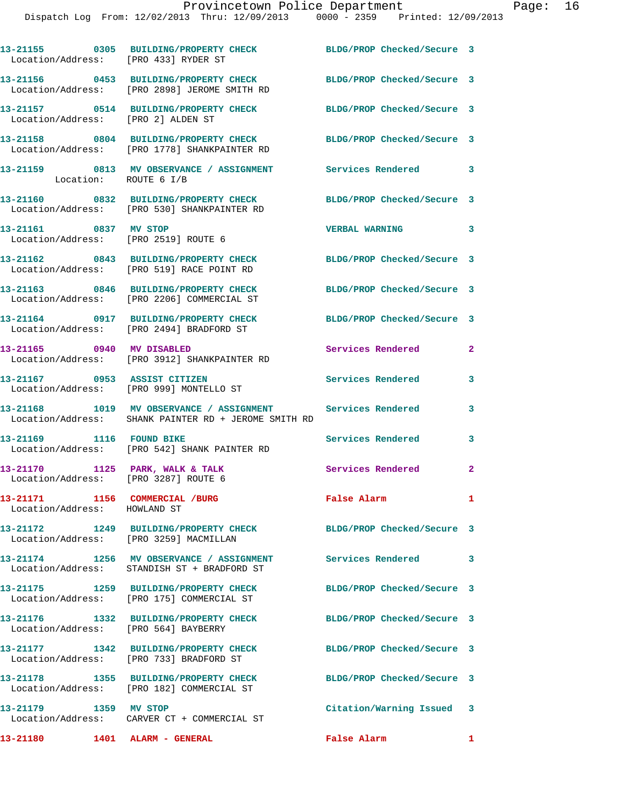| Location/Address: [PRO 433] RYDER ST                                    | 13-21155 0305 BUILDING/PROPERTY CHECK                                                                              | BLDG/PROP Checked/Secure 3 |                |
|-------------------------------------------------------------------------|--------------------------------------------------------------------------------------------------------------------|----------------------------|----------------|
|                                                                         | 13-21156 0453 BUILDING/PROPERTY CHECK<br>Location/Address: [PRO 2898] JEROME SMITH RD                              | BLDG/PROP Checked/Secure 3 |                |
| Location/Address: [PRO 2] ALDEN ST                                      | 13-21157 0514 BUILDING/PROPERTY CHECK                                                                              | BLDG/PROP Checked/Secure 3 |                |
|                                                                         | 13-21158 0804 BUILDING/PROPERTY CHECK<br>Location/Address: [PRO 1778] SHANKPAINTER RD                              | BLDG/PROP Checked/Secure 3 |                |
| Location: ROUTE 6 I/B                                                   | 13-21159 0813 MV OBSERVANCE / ASSIGNMENT Services Rendered 3                                                       |                            |                |
|                                                                         | 13-21160 0832 BUILDING/PROPERTY CHECK<br>Location/Address: [PRO 530] SHANKPAINTER RD                               | BLDG/PROP Checked/Secure 3 |                |
| 13-21161 0837 MV STOP                                                   | Location/Address: [PRO 2519] ROUTE 6                                                                               | <b>VERBAL WARNING</b>      | 3              |
|                                                                         | 13-21162 0843 BUILDING/PROPERTY CHECK<br>Location/Address: [PRO 519] RACE POINT RD                                 | BLDG/PROP Checked/Secure 3 |                |
|                                                                         | 13-21163 0846 BUILDING/PROPERTY CHECK<br>Location/Address: [PRO 2206] COMMERCIAL ST                                | BLDG/PROP Checked/Secure 3 |                |
|                                                                         | 13-21164 0917 BUILDING/PROPERTY CHECK<br>Location/Address: [PRO 2494] BRADFORD ST                                  | BLDG/PROP Checked/Secure 3 |                |
| 13-21165 0940 MV DISABLED                                               | Location/Address: [PRO 3912] SHANKPAINTER RD                                                                       | Services Rendered          | $\mathbf{2}$   |
|                                                                         | 13-21167 0953 ASSIST CITIZEN<br>Location/Address: [PRO 999] MONTELLO ST                                            | <b>Services Rendered</b>   | 3              |
|                                                                         | 13-21168 1019 MV OBSERVANCE / ASSIGNMENT Services Rendered<br>Location/Address: SHANK PAINTER RD + JEROME SMITH RD |                            | 3              |
|                                                                         | 13-21169 1116 FOUND BIKE<br>Location/Address: [PRO 542] SHANK PAINTER RD                                           | <b>Services Rendered</b>   | 3              |
| 13-21170 1125 PARK, WALK & TALK<br>Location/Address: [PRO 3287] ROUTE 6 |                                                                                                                    | Services Rendered          | $\mathbf{2}$   |
| 13-21171 1156 COMMERCIAL /BURG<br>Location/Address: HOWLAND ST          |                                                                                                                    | <b>False Alarm</b>         | $\mathbf{1}$   |
| Location/Address: [PRO 3259] MACMILLAN                                  | 13-21172 1249 BUILDING/PROPERTY CHECK                                                                              | BLDG/PROP Checked/Secure 3 |                |
|                                                                         | 13-21174 1256 MV OBSERVANCE / ASSIGNMENT Services Rendered<br>Location/Address: STANDISH ST + BRADFORD ST          |                            | 3              |
|                                                                         | 13-21175 1259 BUILDING/PROPERTY CHECK<br>Location/Address: [PRO 175] COMMERCIAL ST                                 | BLDG/PROP Checked/Secure 3 |                |
| Location/Address: [PRO 564] BAYBERRY                                    | 13-21176 1332 BUILDING/PROPERTY CHECK                                                                              | BLDG/PROP Checked/Secure 3 |                |
|                                                                         | 13-21177 1342 BUILDING/PROPERTY CHECK<br>Location/Address: [PRO 733] BRADFORD ST                                   | BLDG/PROP Checked/Secure 3 |                |
|                                                                         | 13-21178 1355 BUILDING/PROPERTY CHECK<br>Location/Address: [PRO 182] COMMERCIAL ST                                 | BLDG/PROP Checked/Secure 3 |                |
| 13-21179 1359 MV STOP                                                   | Location/Address: CARVER CT + COMMERCIAL ST                                                                        | Citation/Warning Issued 3  |                |
| 13-21180 1401 ALARM - GENERAL                                           |                                                                                                                    | False Alarm                | $\blacksquare$ |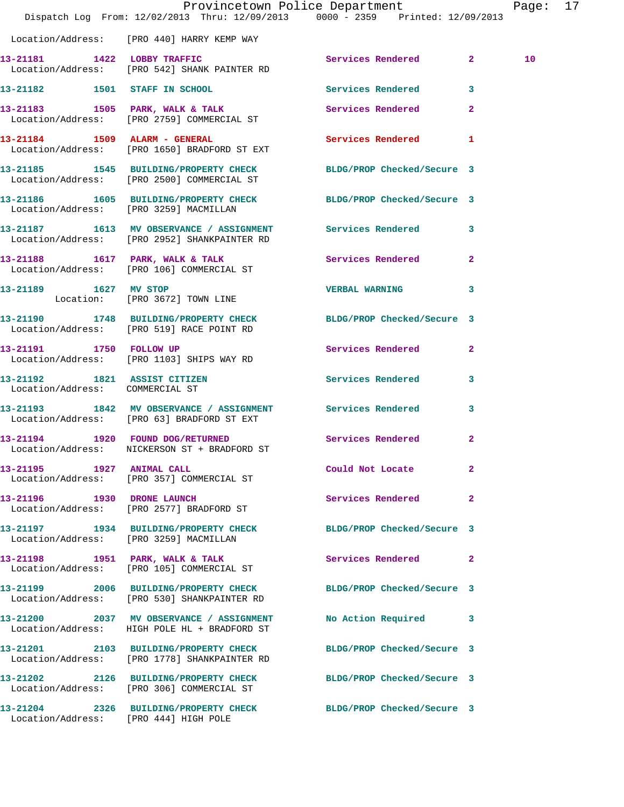|                                       | Provincetown Police Department<br>Dispatch Log From: 12/02/2013 Thru: 12/09/2013 0000 - 2359 Printed: 12/09/2013       |                            |              | Page: 17 |  |
|---------------------------------------|------------------------------------------------------------------------------------------------------------------------|----------------------------|--------------|----------|--|
|                                       | Location/Address: [PRO 440] HARRY KEMP WAY                                                                             |                            |              |          |  |
|                                       | 13-21181 1422 LOBBY TRAFFIC<br>Location/Address: [PRO 542] SHANK PAINTER RD                                            | Services Rendered 2        |              | 10       |  |
|                                       | 13-21182 1501 STAFF IN SCHOOL                                                                                          | Services Rendered 3        |              |          |  |
|                                       | 13-21183 1505 PARK, WALK & TALK ST Services Rendered 2<br>Location/Address: [PRO 2759] COMMERCIAL ST                   |                            |              |          |  |
|                                       | 13-21184 1509 ALARM - GENERAL<br>Location/Address: [PRO 1650] BRADFORD ST EXT                                          | Services Rendered 1        |              |          |  |
|                                       | 13-21185   1545   BUILDING/PROPERTY CHECK   BLDG/PROP Checked/Secure   3<br>Location/Address: [PRO 2500] COMMERCIAL ST |                            |              |          |  |
|                                       | 13-21186 1605 BUILDING/PROPERTY CHECK BLDG/PROP Checked/Secure 3<br>Location/Address: [PRO 3259] MACMILLAN             |                            |              |          |  |
|                                       | 13-21187 1613 MV OBSERVANCE / ASSIGNMENT Services Rendered 3<br>Location/Address: [PRO 2952] SHANKPAINTER RD           |                            |              |          |  |
|                                       | 13-21188 1617 PARK, WALK & TALK 5 Services Rendered 2<br>Location/Address: [PRO 106] COMMERCIAL ST                     |                            |              |          |  |
|                                       | 13-21189 1627 MV STOP<br>Location: [PRO 3672] TOWN LINE                                                                | VERBAL WARNING 3           |              |          |  |
|                                       | 13-21190 1748 BUILDING/PROPERTY CHECK BLDG/PROP Checked/Secure 3<br>Location/Address: [PRO 519] RACE POINT RD          |                            |              |          |  |
| 13-21191 1750 FOLLOW UP               | Location/Address: [PRO 1103] SHIPS WAY RD                                                                              | Services Rendered 2        |              |          |  |
| Location/Address: COMMERCIAL ST       | 13-21192 1821 ASSIST CITIZEN                                                                                           | Services Rendered 3        |              |          |  |
|                                       | 13-21193 1842 MV OBSERVANCE / ASSIGNMENT Services Rendered 3<br>Location/Address: [PRO 63] BRADFORD ST EXT             |                            |              |          |  |
|                                       | 13-21194 1920 FOUND DOG/RETURNED<br>Location/Address: NICKERSON ST + BRADFORD ST                                       | Services Rendered 2        |              |          |  |
|                                       | 13-21195 1927 ANIMAL CALL<br>Location/Address: [PRO 357] COMMERCIAL ST                                                 | Could Not Locate           | $\mathbf{2}$ |          |  |
|                                       | 13-21196    1930    DRONE LAUNCH<br>Location/Address: [PRO 2577] BRADFORD ST                                           | Services Rendered          | $\mathbf{2}$ |          |  |
|                                       | 13-21197 1934 BUILDING/PROPERTY CHECK<br>Location/Address: [PRO 3259] MACMILLAN                                        | BLDG/PROP Checked/Secure 3 |              |          |  |
|                                       | 13-21198 1951 PARK, WALK & TALK<br>Location/Address: [PRO 105] COMMERCIAL ST                                           | Services Rendered 2        |              |          |  |
|                                       | 13-21199 2006 BUILDING/PROPERTY CHECK BLDG/PROP Checked/Secure 3<br>Location/Address: [PRO 530] SHANKPAINTER RD        |                            |              |          |  |
|                                       | 13-21200 2037 MV OBSERVANCE / ASSIGNMENT<br>Location/Address: HIGH POLE HL + BRADFORD ST                               | No Action Required 3       |              |          |  |
|                                       | 13-21201 2103 BUILDING/PROPERTY CHECK BLDG/PROP Checked/Secure 3<br>Location/Address: [PRO 1778] SHANKPAINTER RD       |                            |              |          |  |
|                                       | 13-21202 2126 BUILDING/PROPERTY CHECK BLDG/PROP Checked/Secure 3<br>Location/Address: [PRO 306] COMMERCIAL ST          |                            |              |          |  |
| Location/Address: [PRO 444] HIGH POLE | 13-21204 2326 BUILDING/PROPERTY CHECK BLDG/PROP Checked/Secure 3                                                       |                            |              |          |  |